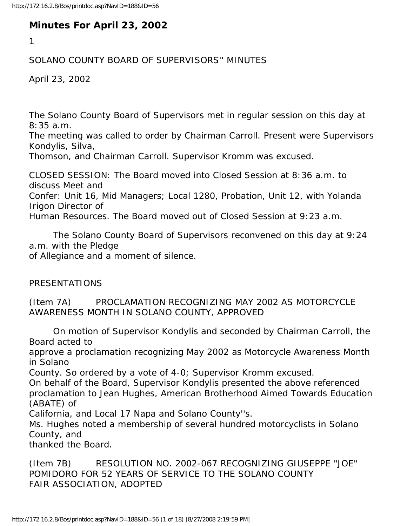## **Minutes For April 23, 2002**

1

## SOLANO COUNTY BOARD OF SUPERVISORS'' MINUTES

April 23, 2002

The Solano County Board of Supervisors met in regular session on this day at 8:35 a.m.

The meeting was called to order by Chairman Carroll. Present were Supervisors Kondylis, Silva,

Thomson, and Chairman Carroll. Supervisor Kromm was excused.

CLOSED SESSION: The Board moved into Closed Session at 8:36 a.m. to discuss Meet and Confer: Unit 16, Mid Managers; Local 1280, Probation, Unit 12, with Yolanda Irigon Director of Human Resources. The Board moved out of Closed Session at 9:23 a.m.

 The Solano County Board of Supervisors reconvened on this day at 9:24 a.m. with the Pledge

of Allegiance and a moment of silence.

PRESENTATIONS

(Item 7A) PROCLAMATION RECOGNIZING MAY 2002 AS MOTORCYCLE AWARENESS MONTH IN SOLANO COUNTY, APPROVED

 On motion of Supervisor Kondylis and seconded by Chairman Carroll, the Board acted to

approve a proclamation recognizing May 2002 as Motorcycle Awareness Month in Solano

County. So ordered by a vote of 4-0; Supervisor Kromm excused.

On behalf of the Board, Supervisor Kondylis presented the above referenced proclamation to Jean Hughes, American Brotherhood Aimed Towards Education (ABATE) of

California, and Local 17 Napa and Solano County''s.

Ms. Hughes noted a membership of several hundred motorcyclists in Solano County, and

thanked the Board.

(Item 7B) RESOLUTION NO. 2002-067 RECOGNIZING GIUSEPPE "JOE" POMIDORO FOR 52 YEARS OF SERVICE TO THE SOLANO COUNTY FAIR ASSOCIATION, ADOPTED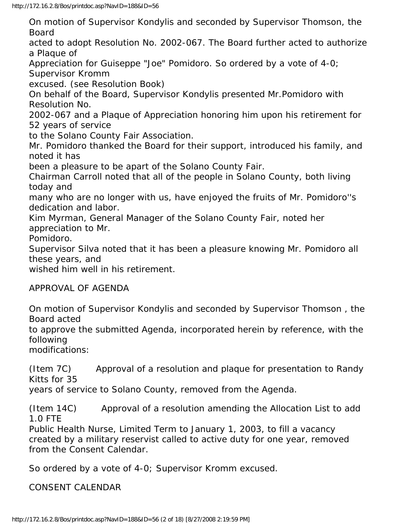On motion of Supervisor Kondylis and seconded by Supervisor Thomson, the Board

acted to adopt Resolution No. 2002-067. The Board further acted to authorize a Plaque of

Appreciation for Guiseppe "Joe" Pomidoro. So ordered by a vote of 4-0; Supervisor Kromm

excused. (see Resolution Book)

On behalf of the Board, Supervisor Kondylis presented Mr.Pomidoro with Resolution No.

2002-067 and a Plaque of Appreciation honoring him upon his retirement for 52 years of service

to the Solano County Fair Association.

Mr. Pomidoro thanked the Board for their support, introduced his family, and noted it has

been a pleasure to be apart of the Solano County Fair.

Chairman Carroll noted that all of the people in Solano County, both living today and

many who are no longer with us, have enjoyed the fruits of Mr. Pomidoro''s dedication and labor.

Kim Myrman, General Manager of the Solano County Fair, noted her appreciation to Mr.

Pomidoro.

Supervisor Silva noted that it has been a pleasure knowing Mr. Pomidoro all these years, and

wished him well in his retirement.

APPROVAL OF AGENDA

On motion of Supervisor Kondylis and seconded by Supervisor Thomson , the Board acted

to approve the submitted Agenda, incorporated herein by reference, with the following

modifications:

(Item 7C) Approval of a resolution and plaque for presentation to Randy Kitts for 35

years of service to Solano County, removed from the Agenda.

(Item 14C) Approval of a resolution amending the Allocation List to add 1.0 FTE

Public Health Nurse, Limited Term to January 1, 2003, to fill a vacancy created by a military reservist called to active duty for one year, removed from the Consent Calendar.

So ordered by a vote of 4-0; Supervisor Kromm excused.

CONSENT CALENDAR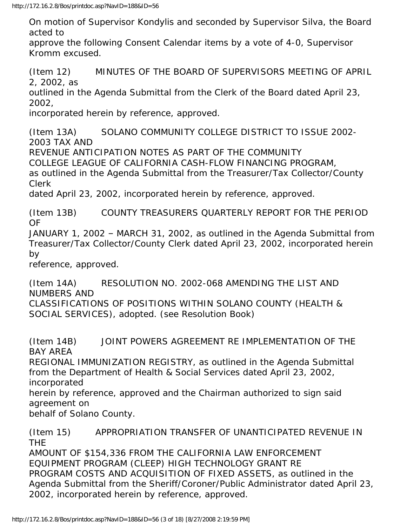On motion of Supervisor Kondylis and seconded by Supervisor Silva, the Board acted to

approve the following Consent Calendar items by a vote of 4-0, Supervisor Kromm excused.

(Item 12) MINUTES OF THE BOARD OF SUPERVISORS MEETING OF APRIL 2, 2002, as

outlined in the Agenda Submittal from the Clerk of the Board dated April 23, 2002,

incorporated herein by reference, approved.

(Item 13A) SOLANO COMMUNITY COLLEGE DISTRICT TO ISSUE 2002- 2003 TAX AND

REVENUE ANTICIPATION NOTES AS PART OF THE COMMUNITY

COLLEGE LEAGUE OF CALIFORNIA CASH-FLOW FINANCING PROGRAM,

as outlined in the Agenda Submittal from the Treasurer/Tax Collector/County Clerk

dated April 23, 2002, incorporated herein by reference, approved.

(Item 13B) COUNTY TREASURERS QUARTERLY REPORT FOR THE PERIOD OF

JANUARY 1, 2002 – MARCH 31, 2002, as outlined in the Agenda Submittal from Treasurer/Tax Collector/County Clerk dated April 23, 2002, incorporated herein by

reference, approved.

(Item 14A) RESOLUTION NO. 2002-068 AMENDING THE LIST AND NUMBERS AND CLASSIFICATIONS OF POSITIONS WITHIN SOLANO COUNTY (HEALTH & SOCIAL SERVICES), adopted. (see Resolution Book)

(Item 14B) JOINT POWERS AGREEMENT RE IMPLEMENTATION OF THE BAY AREA REGIONAL IMMUNIZATION REGISTRY, as outlined in the Agenda Submittal from the Department of Health & Social Services dated April 23, 2002, incorporated herein by reference, approved and the Chairman authorized to sign said agreement on behalf of Solano County.

(Item 15) APPROPRIATION TRANSFER OF UNANTICIPATED REVENUE IN THE AMOUNT OF \$154,336 FROM THE CALIFORNIA LAW ENFORCEMENT EQUIPMENT PROGRAM (CLEEP) HIGH TECHNOLOGY GRANT RE PROGRAM COSTS AND ACQUISITION OF FIXED ASSETS, as outlined in the Agenda Submittal from the Sheriff/Coroner/Public Administrator dated April 23, 2002, incorporated herein by reference, approved.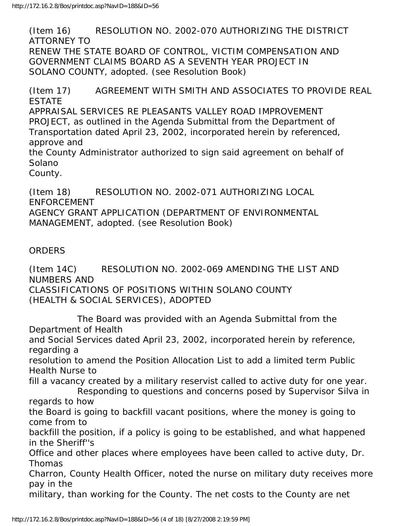(Item 16) RESOLUTION NO. 2002-070 AUTHORIZING THE DISTRICT ATTORNEY TO RENEW THE STATE BOARD OF CONTROL, VICTIM COMPENSATION AND GOVERNMENT CLAIMS BOARD AS A SEVENTH YEAR PROJECT IN SOLANO COUNTY, adopted. (see Resolution Book)

(Item 17) AGREEMENT WITH SMITH AND ASSOCIATES TO PROVIDE REAL ESTATE APPRAISAL SERVICES RE PLEASANTS VALLEY ROAD IMPROVEMENT PROJECT, as outlined in the Agenda Submittal from the Department of Transportation dated April 23, 2002, incorporated herein by referenced, approve and the County Administrator authorized to sign said agreement on behalf of

Solano

County.

(Item 18) RESOLUTION NO. 2002-071 AUTHORIZING LOCAL ENFORCEMENT AGENCY GRANT APPLICATION (DEPARTMENT OF ENVIRONMENTAL MANAGEMENT, adopted. (see Resolution Book)

## **ORDERS**

(Item 14C) RESOLUTION NO. 2002-069 AMENDING THE LIST AND NUMBERS AND CLASSIFICATIONS OF POSITIONS WITHIN SOLANO COUNTY (HEALTH & SOCIAL SERVICES), ADOPTED

 The Board was provided with an Agenda Submittal from the Department of Health and Social Services dated April 23, 2002, incorporated herein by reference, regarding a resolution to amend the Position Allocation List to add a limited term Public Health Nurse to fill a vacancy created by a military reservist called to active duty for one year. Responding to questions and concerns posed by Supervisor Silva in regards to how the Board is going to backfill vacant positions, where the money is going to come from to

backfill the position, if a policy is going to be established, and what happened in the Sheriff''s

Office and other places where employees have been called to active duty, Dr. Thomas

Charron, County Health Officer, noted the nurse on military duty receives more pay in the

military, than working for the County. The net costs to the County are net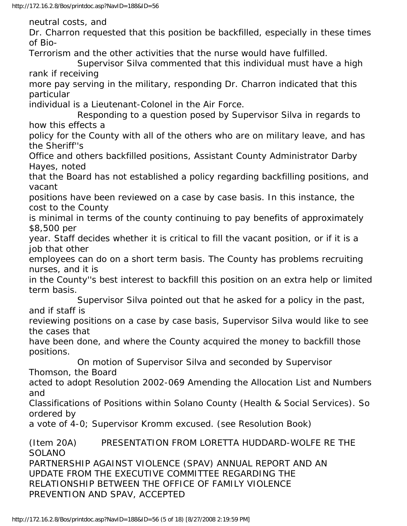neutral costs, and Dr. Charron requested that this position be backfilled, especially in these times of Bio-Terrorism and the other activities that the nurse would have fulfilled. Supervisor Silva commented that this individual must have a high rank if receiving more pay serving in the military, responding Dr. Charron indicated that this particular individual is a Lieutenant-Colonel in the Air Force. Responding to a question posed by Supervisor Silva in regards to how this effects a policy for the County with all of the others who are on military leave, and has the Sheriff''s Office and others backfilled positions, Assistant County Administrator Darby Hayes, noted that the Board has not established a policy regarding backfilling positions, and vacant positions have been reviewed on a case by case basis. In this instance, the cost to the County is minimal in terms of the county continuing to pay benefits of approximately \$8,500 per year. Staff decides whether it is critical to fill the vacant position, or if it is a job that other employees can do on a short term basis. The County has problems recruiting nurses, and it is in the County''s best interest to backfill this position on an extra help or limited term basis. Supervisor Silva pointed out that he asked for a policy in the past, and if staff is reviewing positions on a case by case basis, Supervisor Silva would like to see the cases that have been done, and where the County acquired the money to backfill those positions. On motion of Supervisor Silva and seconded by Supervisor Thomson, the Board acted to adopt Resolution 2002-069 Amending the Allocation List and Numbers and Classifications of Positions within Solano County (Health & Social Services). So ordered by a vote of 4-0; Supervisor Kromm excused. (see Resolution Book) (Item 20A) PRESENTATION FROM LORETTA HUDDARD-WOLFE RE THE SOLANO PARTNERSHIP AGAINST VIOLENCE (SPAV) ANNUAL REPORT AND AN UPDATE FROM THE EXECUTIVE COMMITTEE REGARDING THE RELATIONSHIP BETWEEN THE OFFICE OF FAMILY VIOLENCE PREVENTION AND SPAV, ACCEPTED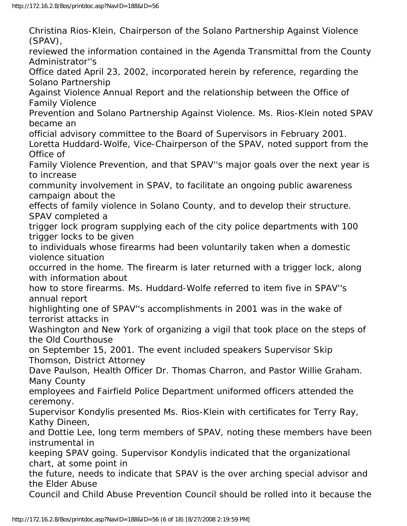Christina Rios-Klein, Chairperson of the Solano Partnership Against Violence (SPAV), reviewed the information contained in the Agenda Transmittal from the County Administrator''s Office dated April 23, 2002, incorporated herein by reference, regarding the Solano Partnership Against Violence Annual Report and the relationship between the Office of Family Violence Prevention and Solano Partnership Against Violence. Ms. Rios-Klein noted SPAV became an official advisory committee to the Board of Supervisors in February 2001. Loretta Huddard-Wolfe, Vice-Chairperson of the SPAV, noted support from the Office of Family Violence Prevention, and that SPAV''s major goals over the next year is to increase community involvement in SPAV, to facilitate an ongoing public awareness campaign about the effects of family violence in Solano County, and to develop their structure. SPAV completed a trigger lock program supplying each of the city police departments with 100 trigger locks to be given to individuals whose firearms had been voluntarily taken when a domestic violence situation occurred in the home. The firearm is later returned with a trigger lock, along with information about how to store firearms. Ms. Huddard-Wolfe referred to item five in SPAV''s annual report highlighting one of SPAV''s accomplishments in 2001 was in the wake of terrorist attacks in Washington and New York of organizing a vigil that took place on the steps of the Old Courthouse on September 15, 2001. The event included speakers Supervisor Skip Thomson, District Attorney Dave Paulson, Health Officer Dr. Thomas Charron, and Pastor Willie Graham. Many County employees and Fairfield Police Department uniformed officers attended the ceremony. Supervisor Kondylis presented Ms. Rios-Klein with certificates for Terry Ray, Kathy Dineen, and Dottie Lee, long term members of SPAV, noting these members have been instrumental in keeping SPAV going. Supervisor Kondylis indicated that the organizational chart, at some point in the future, needs to indicate that SPAV is the over arching special advisor and the Elder Abuse Council and Child Abuse Prevention Council should be rolled into it because the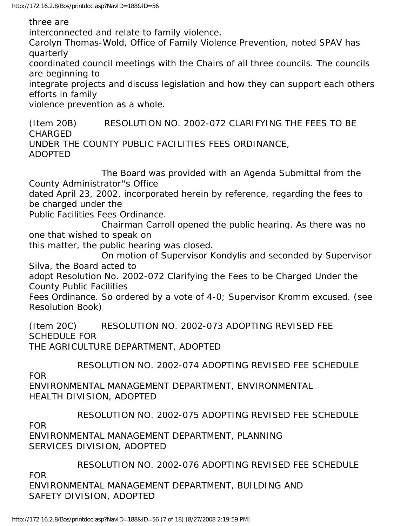three are

interconnected and relate to family violence.

Carolyn Thomas-Wold, Office of Family Violence Prevention, noted SPAV has quarterly

coordinated council meetings with the Chairs of all three councils. The councils are beginning to

integrate projects and discuss legislation and how they can support each others efforts in family

violence prevention as a whole.

(Item 20B) RESOLUTION NO. 2002-072 CLARIFYING THE FEES TO BE CHARGED UNDER THE COUNTY PUBLIC FACILITIES FEES ORDINANCE, ADOPTED

 The Board was provided with an Agenda Submittal from the County Administrator''s Office

dated April 23, 2002, incorporated herein by reference, regarding the fees to be charged under the

Public Facilities Fees Ordinance.

 Chairman Carroll opened the public hearing. As there was no one that wished to speak on

this matter, the public hearing was closed.

 On motion of Supervisor Kondylis and seconded by Supervisor Silva, the Board acted to

adopt Resolution No. 2002-072 Clarifying the Fees to be Charged Under the County Public Facilities

Fees Ordinance. So ordered by a vote of 4-0; Supervisor Kromm excused. (see Resolution Book)

(Item 20C) RESOLUTION NO. 2002-073 ADOPTING REVISED FEE SCHEDULE FOR

THE AGRICULTURE DEPARTMENT, ADOPTED

RESOLUTION NO. 2002-074 ADOPTING REVISED FEE SCHEDULE

FOR

ENVIRONMENTAL MANAGEMENT DEPARTMENT, ENVIRONMENTAL HEALTH DIVISION, ADOPTED

RESOLUTION NO. 2002-075 ADOPTING REVISED FEE SCHEDULE

FOR

ENVIRONMENTAL MANAGEMENT DEPARTMENT, PLANNING SERVICES DIVISION, ADOPTED

RESOLUTION NO. 2002-076 ADOPTING REVISED FEE SCHEDULE

FOR

ENVIRONMENTAL MANAGEMENT DEPARTMENT, BUILDING AND SAFETY DIVISION, ADOPTED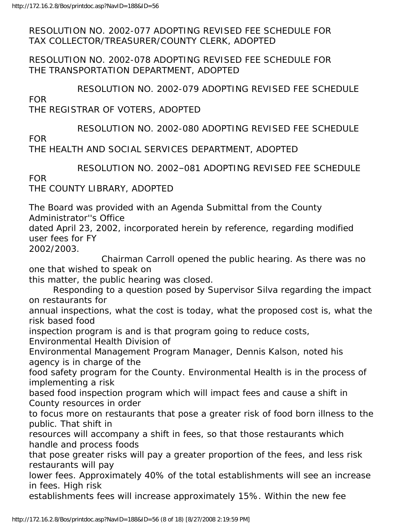RESOLUTION NO. 2002-077 ADOPTING REVISED FEE SCHEDULE FOR TAX COLLECTOR/TREASURER/COUNTY CLERK, ADOPTED

RESOLUTION NO. 2002-078 ADOPTING REVISED FEE SCHEDULE FOR THE TRANSPORTATION DEPARTMENT, ADOPTED

RESOLUTION NO. 2002-079 ADOPTING REVISED FEE SCHEDULE

FOR

THE REGISTRAR OF VOTERS, ADOPTED

RESOLUTION NO. 2002-080 ADOPTING REVISED FEE SCHEDULE

FOR

THE HEALTH AND SOCIAL SERVICES DEPARTMENT, ADOPTED

RESOLUTION NO. 2002–081 ADOPTING REVISED FEE SCHEDULE

FOR

THE COUNTY LIBRARY, ADOPTED

The Board was provided with an Agenda Submittal from the County Administrator''s Office

dated April 23, 2002, incorporated herein by reference, regarding modified user fees for FY

2002/2003.

 Chairman Carroll opened the public hearing. As there was no one that wished to speak on

this matter, the public hearing was closed.

 Responding to a question posed by Supervisor Silva regarding the impact on restaurants for

annual inspections, what the cost is today, what the proposed cost is, what the risk based food

inspection program is and is that program going to reduce costs,

Environmental Health Division of

Environmental Management Program Manager, Dennis Kalson, noted his agency is in charge of the

food safety program for the County. Environmental Health is in the process of implementing a risk

based food inspection program which will impact fees and cause a shift in County resources in order

to focus more on restaurants that pose a greater risk of food born illness to the public. That shift in

resources will accompany a shift in fees, so that those restaurants which handle and process foods

that pose greater risks will pay a greater proportion of the fees, and less risk restaurants will pay

lower fees. Approximately 40% of the total establishments will see an increase in fees. High risk

establishments fees will increase approximately 15%. Within the new fee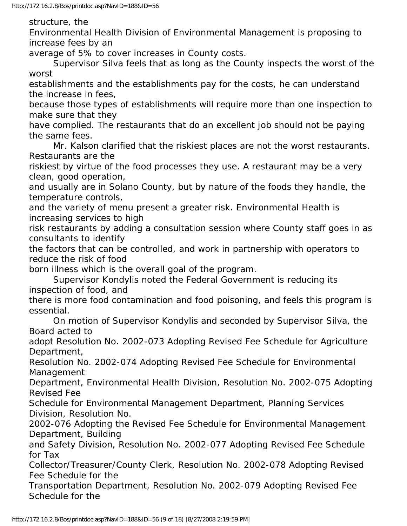structure, the

Environmental Health Division of Environmental Management is proposing to increase fees by an

average of 5% to cover increases in County costs.

 Supervisor Silva feels that as long as the County inspects the worst of the worst

establishments and the establishments pay for the costs, he can understand the increase in fees,

because those types of establishments will require more than one inspection to make sure that they

have complied. The restaurants that do an excellent job should not be paying the same fees.

 Mr. Kalson clarified that the riskiest places are not the worst restaurants. Restaurants are the

riskiest by virtue of the food processes they use. A restaurant may be a very clean, good operation,

and usually are in Solano County, but by nature of the foods they handle, the temperature controls,

and the variety of menu present a greater risk. Environmental Health is increasing services to high

risk restaurants by adding a consultation session where County staff goes in as consultants to identify

the factors that can be controlled, and work in partnership with operators to reduce the risk of food

born illness which is the overall goal of the program.

 Supervisor Kondylis noted the Federal Government is reducing its inspection of food, and

there is more food contamination and food poisoning, and feels this program is essential.

 On motion of Supervisor Kondylis and seconded by Supervisor Silva, the Board acted to

adopt Resolution No. 2002-073 Adopting Revised Fee Schedule for Agriculture Department,

Resolution No. 2002-074 Adopting Revised Fee Schedule for Environmental Management

Department, Environmental Health Division, Resolution No. 2002-075 Adopting Revised Fee

Schedule for Environmental Management Department, Planning Services Division, Resolution No.

2002-076 Adopting the Revised Fee Schedule for Environmental Management Department, Building

and Safety Division, Resolution No. 2002-077 Adopting Revised Fee Schedule for Tax

Collector/Treasurer/County Clerk, Resolution No. 2002-078 Adopting Revised Fee Schedule for the

Transportation Department, Resolution No. 2002-079 Adopting Revised Fee Schedule for the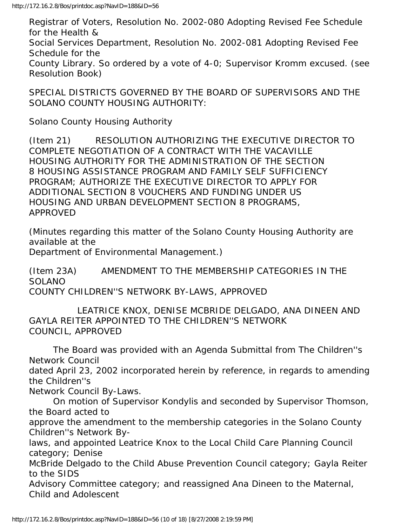Registrar of Voters, Resolution No. 2002-080 Adopting Revised Fee Schedule for the Health & Social Services Department, Resolution No. 2002-081 Adopting Revised Fee Schedule for the County Library. So ordered by a vote of 4-0; Supervisor Kromm excused. (see Resolution Book)

SPECIAL DISTRICTS GOVERNED BY THE BOARD OF SUPERVISORS AND THE SOLANO COUNTY HOUSING AUTHORITY:

Solano County Housing Authority

(Item 21) RESOLUTION AUTHORIZING THE EXECUTIVE DIRECTOR TO COMPLETE NEGOTIATION OF A CONTRACT WITH THE VACAVILLE HOUSING AUTHORITY FOR THE ADMINISTRATION OF THE SECTION 8 HOUSING ASSISTANCE PROGRAM AND FAMILY SELF SUFFICIENCY PROGRAM; AUTHORIZE THE EXECUTIVE DIRECTOR TO APPLY FOR ADDITIONAL SECTION 8 VOUCHERS AND FUNDING UNDER US HOUSING AND URBAN DEVELOPMENT SECTION 8 PROGRAMS, APPROVED

(Minutes regarding this matter of the Solano County Housing Authority are available at the

Department of Environmental Management.)

(Item 23A) AMENDMENT TO THE MEMBERSHIP CATEGORIES IN THE SOLANO COUNTY CHILDREN''S NETWORK BY-LAWS, APPROVED

 LEATRICE KNOX, DENISE MCBRIDE DELGADO, ANA DINEEN AND GAYLA REITER APPOINTED TO THE CHILDREN''S NETWORK COUNCIL, APPROVED

 The Board was provided with an Agenda Submittal from The Children''s Network Council

dated April 23, 2002 incorporated herein by reference, in regards to amending the Children''s

Network Council By-Laws.

 On motion of Supervisor Kondylis and seconded by Supervisor Thomson, the Board acted to

approve the amendment to the membership categories in the Solano County Children''s Network By-

laws, and appointed Leatrice Knox to the Local Child Care Planning Council category; Denise

McBride Delgado to the Child Abuse Prevention Council category; Gayla Reiter to the SIDS

Advisory Committee category; and reassigned Ana Dineen to the Maternal, Child and Adolescent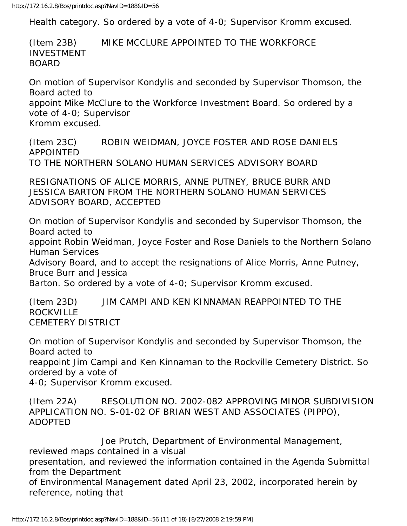Health category. So ordered by a vote of 4-0; Supervisor Kromm excused.

(Item 23B) MIKE MCCLURE APPOINTED TO THE WORKFORCE INVESTMENT BOARD

On motion of Supervisor Kondylis and seconded by Supervisor Thomson, the Board acted to appoint Mike McClure to the Workforce Investment Board. So ordered by a vote of 4-0; Supervisor Kromm excused.

(Item 23C) ROBIN WEIDMAN, JOYCE FOSTER AND ROSE DANIELS APPOINTED TO THE NORTHERN SOLANO HUMAN SERVICES ADVISORY BOARD

RESIGNATIONS OF ALICE MORRIS, ANNE PUTNEY, BRUCE BURR AND JESSICA BARTON FROM THE NORTHERN SOLANO HUMAN SERVICES ADVISORY BOARD, ACCEPTED

On motion of Supervisor Kondylis and seconded by Supervisor Thomson, the Board acted to

appoint Robin Weidman, Joyce Foster and Rose Daniels to the Northern Solano Human Services

Advisory Board, and to accept the resignations of Alice Morris, Anne Putney, Bruce Burr and Jessica

Barton. So ordered by a vote of 4-0; Supervisor Kromm excused.

(Item 23D) JIM CAMPI AND KEN KINNAMAN REAPPOINTED TO THE ROCKVILLE CEMETERY DISTRICT

On motion of Supervisor Kondylis and seconded by Supervisor Thomson, the Board acted to

reappoint Jim Campi and Ken Kinnaman to the Rockville Cemetery District. So ordered by a vote of

4-0; Supervisor Kromm excused.

(Item 22A) RESOLUTION NO. 2002-082 APPROVING MINOR SUBDIVISION APPLICATION NO. S-01-02 OF BRIAN WEST AND ASSOCIATES (PIPPO), ADOPTED

 Joe Prutch, Department of Environmental Management, reviewed maps contained in a visual presentation, and reviewed the information contained in the Agenda Submittal from the Department of Environmental Management dated April 23, 2002, incorporated herein by reference, noting that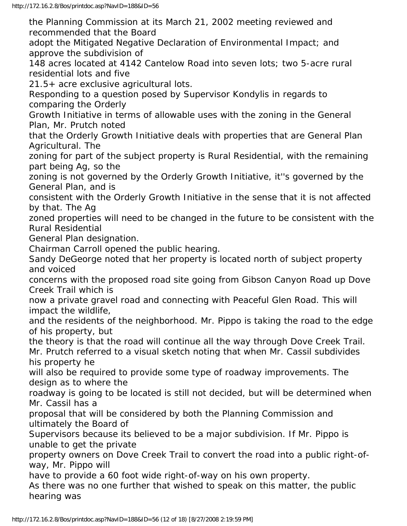the Planning Commission at its March 21, 2002 meeting reviewed and recommended that the Board

adopt the Mitigated Negative Declaration of Environmental Impact; and approve the subdivision of

148 acres located at 4142 Cantelow Road into seven lots; two 5-acre rural residential lots and five

21.5+ acre exclusive agricultural lots.

Responding to a question posed by Supervisor Kondylis in regards to comparing the Orderly

Growth Initiative in terms of allowable uses with the zoning in the General Plan, Mr. Prutch noted

that the Orderly Growth Initiative deals with properties that are General Plan Agricultural. The

zoning for part of the subject property is Rural Residential, with the remaining part being Ag, so the

zoning is not governed by the Orderly Growth Initiative, it''s governed by the General Plan, and is

consistent with the Orderly Growth Initiative in the sense that it is not affected by that. The Ag

zoned properties will need to be changed in the future to be consistent with the Rural Residential

General Plan designation.

Chairman Carroll opened the public hearing.

Sandy DeGeorge noted that her property is located north of subject property and voiced

concerns with the proposed road site going from Gibson Canyon Road up Dove Creek Trail which is

now a private gravel road and connecting with Peaceful Glen Road. This will impact the wildlife,

and the residents of the neighborhood. Mr. Pippo is taking the road to the edge of his property, but

the theory is that the road will continue all the way through Dove Creek Trail. Mr. Prutch referred to a visual sketch noting that when Mr. Cassil subdivides his property he

will also be required to provide some type of roadway improvements. The design as to where the

roadway is going to be located is still not decided, but will be determined when Mr. Cassil has a

proposal that will be considered by both the Planning Commission and ultimately the Board of

Supervisors because its believed to be a major subdivision. If Mr. Pippo is unable to get the private

property owners on Dove Creek Trail to convert the road into a public right-ofway, Mr. Pippo will

have to provide a 60 foot wide right-of-way on his own property.

As there was no one further that wished to speak on this matter, the public hearing was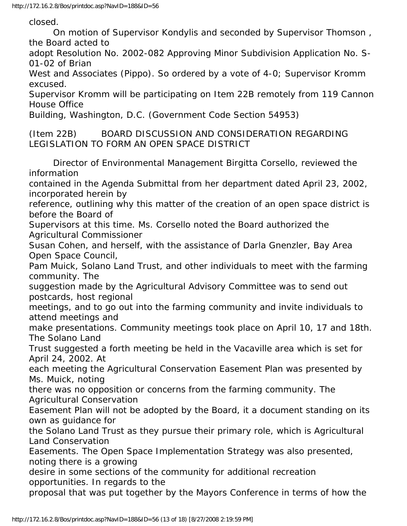closed.

 On motion of Supervisor Kondylis and seconded by Supervisor Thomson , the Board acted to

adopt Resolution No. 2002-082 Approving Minor Subdivision Application No. S-01-02 of Brian

West and Associates (Pippo). So ordered by a vote of 4-0; Supervisor Kromm excused.

Supervisor Kromm will be participating on Item 22B remotely from 119 Cannon House Office

Building, Washington, D.C. (Government Code Section 54953)

(Item 22B) BOARD DISCUSSION AND CONSIDERATION REGARDING LEGISLATION TO FORM AN OPEN SPACE DISTRICT

 Director of Environmental Management Birgitta Corsello, reviewed the information contained in the Agenda Submittal from her department dated April 23, 2002, incorporated herein by reference, outlining why this matter of the creation of an open space district is before the Board of Supervisors at this time. Ms. Corsello noted the Board authorized the Agricultural Commissioner Susan Cohen, and herself, with the assistance of Darla Gnenzler, Bay Area Open Space Council, Pam Muick, Solano Land Trust, and other individuals to meet with the farming community. The suggestion made by the Agricultural Advisory Committee was to send out postcards, host regional meetings, and to go out into the farming community and invite individuals to attend meetings and make presentations. Community meetings took place on April 10, 17 and 18th. The Solano Land Trust suggested a forth meeting be held in the Vacaville area which is set for April 24, 2002. At each meeting the Agricultural Conservation Easement Plan was presented by Ms. Muick, noting there was no opposition or concerns from the farming community. The Agricultural Conservation Easement Plan will not be adopted by the Board, it a document standing on its own as guidance for the Solano Land Trust as they pursue their primary role, which is Agricultural Land Conservation Easements. The Open Space Implementation Strategy was also presented, noting there is a growing desire in some sections of the community for additional recreation opportunities. In regards to the proposal that was put together by the Mayors Conference in terms of how the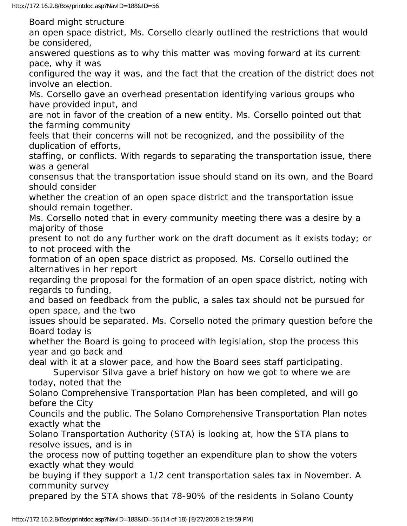Board might structure

an open space district, Ms. Corsello clearly outlined the restrictions that would be considered,

answered questions as to why this matter was moving forward at its current pace, why it was

configured the way it was, and the fact that the creation of the district does not involve an election.

Ms. Corsello gave an overhead presentation identifying various groups who have provided input, and

are not in favor of the creation of a new entity. Ms. Corsello pointed out that the farming community

feels that their concerns will not be recognized, and the possibility of the duplication of efforts,

staffing, or conflicts. With regards to separating the transportation issue, there was a general

consensus that the transportation issue should stand on its own, and the Board should consider

whether the creation of an open space district and the transportation issue should remain together.

Ms. Corsello noted that in every community meeting there was a desire by a majority of those

present to not do any further work on the draft document as it exists today; or to not proceed with the

formation of an open space district as proposed. Ms. Corsello outlined the alternatives in her report

regarding the proposal for the formation of an open space district, noting with regards to funding,

and based on feedback from the public, a sales tax should not be pursued for open space, and the two

issues should be separated. Ms. Corsello noted the primary question before the Board today is

whether the Board is going to proceed with legislation, stop the process this year and go back and

deal with it at a slower pace, and how the Board sees staff participating.

 Supervisor Silva gave a brief history on how we got to where we are today, noted that the

Solano Comprehensive Transportation Plan has been completed, and will go before the City

Councils and the public. The Solano Comprehensive Transportation Plan notes exactly what the

Solano Transportation Authority (STA) is looking at, how the STA plans to resolve issues, and is in

the process now of putting together an expenditure plan to show the voters exactly what they would

be buying if they support a 1/2 cent transportation sales tax in November. A community survey

prepared by the STA shows that 78-90% of the residents in Solano County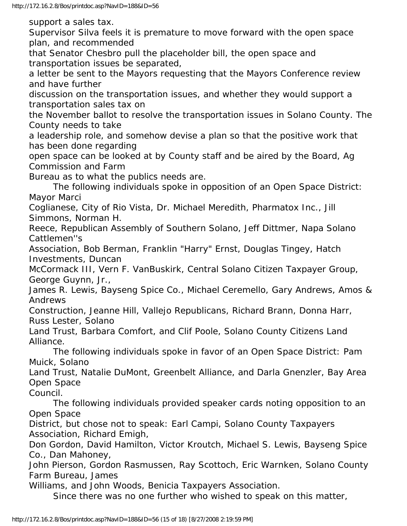support a sales tax.

Supervisor Silva feels it is premature to move forward with the open space plan, and recommended

that Senator Chesbro pull the placeholder bill, the open space and transportation issues be separated,

a letter be sent to the Mayors requesting that the Mayors Conference review and have further

discussion on the transportation issues, and whether they would support a transportation sales tax on

the November ballot to resolve the transportation issues in Solano County. The County needs to take

a leadership role, and somehow devise a plan so that the positive work that has been done regarding

open space can be looked at by County staff and be aired by the Board, Ag Commission and Farm

Bureau as to what the publics needs are.

 The following individuals spoke in opposition of an Open Space District: Mayor Marci

Coglianese, City of Rio Vista, Dr. Michael Meredith, Pharmatox Inc., Jill Simmons, Norman H.

Reece, Republican Assembly of Southern Solano, Jeff Dittmer, Napa Solano Cattlemen''s

Association, Bob Berman, Franklin "Harry" Ernst, Douglas Tingey, Hatch Investments, Duncan

McCormack III, Vern F. VanBuskirk, Central Solano Citizen Taxpayer Group, George Guynn, Jr.,

James R. Lewis, Bayseng Spice Co., Michael Ceremello, Gary Andrews, Amos & Andrews

Construction, Jeanne Hill, Vallejo Republicans, Richard Brann, Donna Harr, Russ Lester, Solano

Land Trust, Barbara Comfort, and Clif Poole, Solano County Citizens Land Alliance.

 The following individuals spoke in favor of an Open Space District: Pam Muick, Solano

Land Trust, Natalie DuMont, Greenbelt Alliance, and Darla Gnenzler, Bay Area Open Space

Council.

 The following individuals provided speaker cards noting opposition to an Open Space

District, but chose not to speak: Earl Campi, Solano County Taxpayers Association, Richard Emigh,

Don Gordon, David Hamilton, Victor Kroutch, Michael S. Lewis, Bayseng Spice Co., Dan Mahoney,

John Pierson, Gordon Rasmussen, Ray Scottoch, Eric Warnken, Solano County Farm Bureau, James

Williams, and John Woods, Benicia Taxpayers Association.

Since there was no one further who wished to speak on this matter,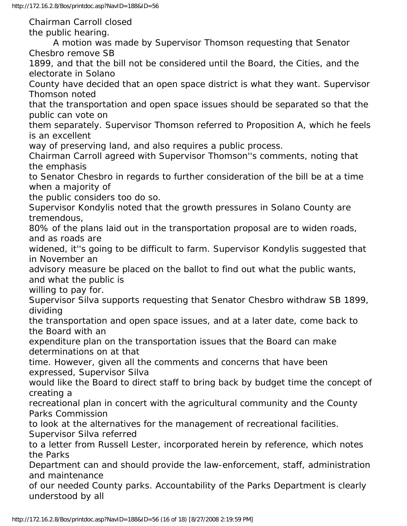Chairman Carroll closed

the public hearing.

 A motion was made by Supervisor Thomson requesting that Senator Chesbro remove SB

1899, and that the bill not be considered until the Board, the Cities, and the electorate in Solano

County have decided that an open space district is what they want. Supervisor Thomson noted

that the transportation and open space issues should be separated so that the public can vote on

them separately. Supervisor Thomson referred to Proposition A, which he feels is an excellent

way of preserving land, and also requires a public process.

Chairman Carroll agreed with Supervisor Thomson''s comments, noting that the emphasis

to Senator Chesbro in regards to further consideration of the bill be at a time when a majority of

the public considers too do so.

Supervisor Kondylis noted that the growth pressures in Solano County are tremendous,

80% of the plans laid out in the transportation proposal are to widen roads, and as roads are

widened, it''s going to be difficult to farm. Supervisor Kondylis suggested that in November an

advisory measure be placed on the ballot to find out what the public wants, and what the public is

willing to pay for.

Supervisor Silva supports requesting that Senator Chesbro withdraw SB 1899, dividing

the transportation and open space issues, and at a later date, come back to the Board with an

expenditure plan on the transportation issues that the Board can make determinations on at that

time. However, given all the comments and concerns that have been expressed, Supervisor Silva

would like the Board to direct staff to bring back by budget time the concept of creating a

recreational plan in concert with the agricultural community and the County Parks Commission

to look at the alternatives for the management of recreational facilities. Supervisor Silva referred

to a letter from Russell Lester, incorporated herein by reference, which notes the Parks

Department can and should provide the law-enforcement, staff, administration and maintenance

of our needed County parks. Accountability of the Parks Department is clearly understood by all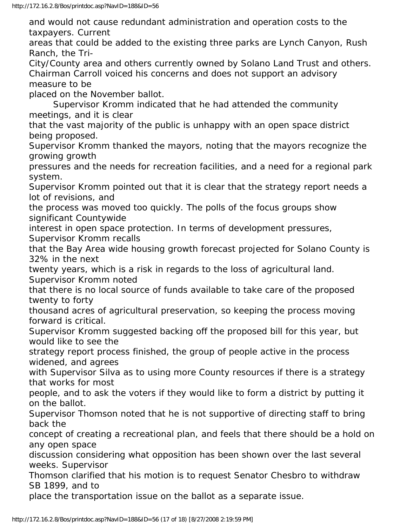and would not cause redundant administration and operation costs to the taxpayers. Current

areas that could be added to the existing three parks are Lynch Canyon, Rush Ranch, the Tri-

City/County area and others currently owned by Solano Land Trust and others. Chairman Carroll voiced his concerns and does not support an advisory measure to be

placed on the November ballot.

 Supervisor Kromm indicated that he had attended the community meetings, and it is clear

that the vast majority of the public is unhappy with an open space district being proposed.

Supervisor Kromm thanked the mayors, noting that the mayors recognize the growing growth

pressures and the needs for recreation facilities, and a need for a regional park system.

Supervisor Kromm pointed out that it is clear that the strategy report needs a lot of revisions, and

the process was moved too quickly. The polls of the focus groups show significant Countywide

interest in open space protection. In terms of development pressures, Supervisor Kromm recalls

that the Bay Area wide housing growth forecast projected for Solano County is 32% in the next

twenty years, which is a risk in regards to the loss of agricultural land. Supervisor Kromm noted

that there is no local source of funds available to take care of the proposed twenty to forty

thousand acres of agricultural preservation, so keeping the process moving forward is critical.

Supervisor Kromm suggested backing off the proposed bill for this year, but would like to see the

strategy report process finished, the group of people active in the process widened, and agrees

with Supervisor Silva as to using more County resources if there is a strategy that works for most

people, and to ask the voters if they would like to form a district by putting it on the ballot.

Supervisor Thomson noted that he is not supportive of directing staff to bring back the

concept of creating a recreational plan, and feels that there should be a hold on any open space

discussion considering what opposition has been shown over the last several weeks. Supervisor

Thomson clarified that his motion is to request Senator Chesbro to withdraw SB 1899, and to

place the transportation issue on the ballot as a separate issue.